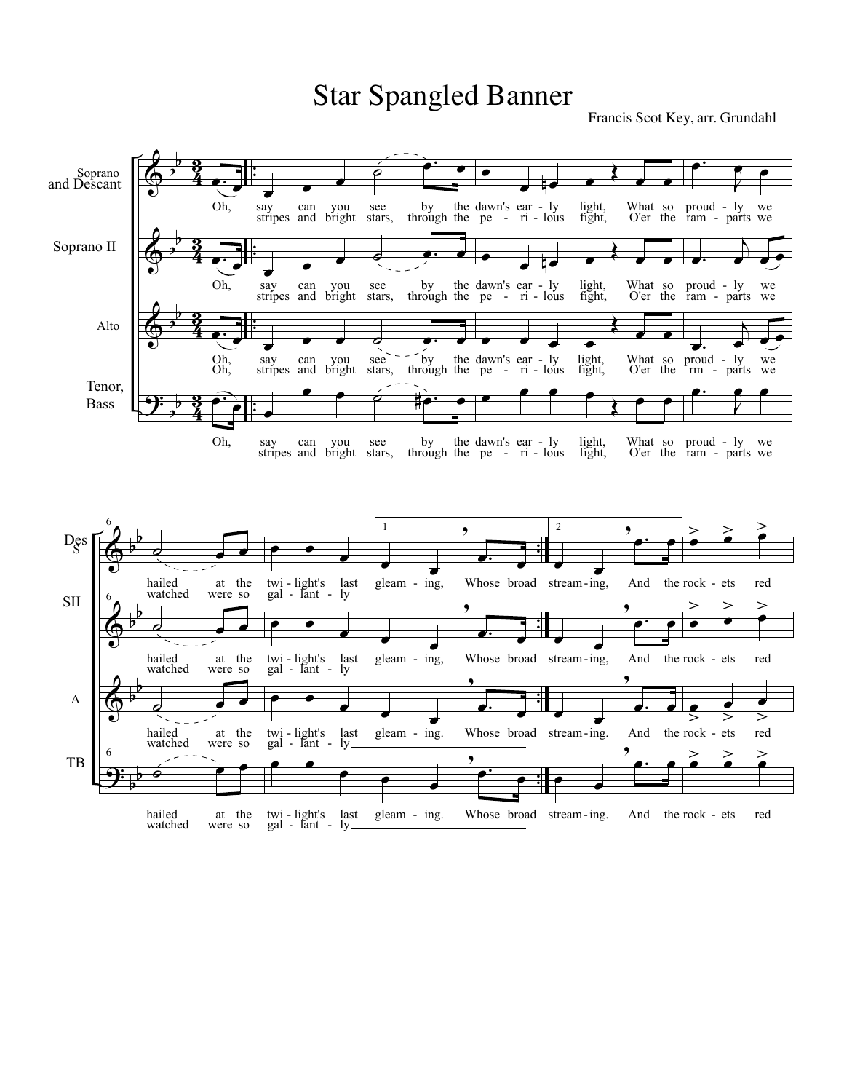## Star Spangled Banner

Francis Scot Key, arr. Grundahl